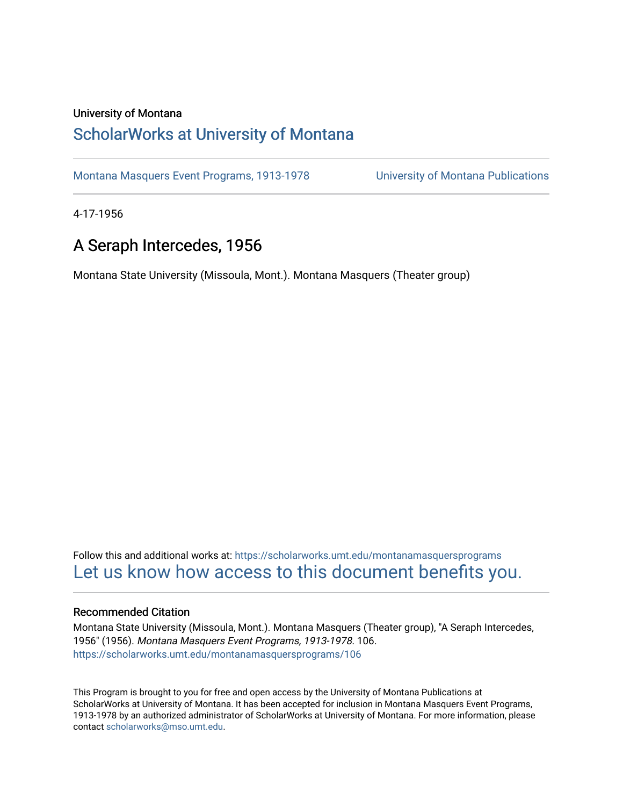#### University of Montana

# [ScholarWorks at University of Montana](https://scholarworks.umt.edu/)

[Montana Masquers Event Programs, 1913-1978](https://scholarworks.umt.edu/montanamasquersprograms) [University of Montana Publications](https://scholarworks.umt.edu/umpubs) 

4-17-1956

# A Seraph Intercedes, 1956

Montana State University (Missoula, Mont.). Montana Masquers (Theater group)

Follow this and additional works at: [https://scholarworks.umt.edu/montanamasquersprograms](https://scholarworks.umt.edu/montanamasquersprograms?utm_source=scholarworks.umt.edu%2Fmontanamasquersprograms%2F106&utm_medium=PDF&utm_campaign=PDFCoverPages) [Let us know how access to this document benefits you.](https://goo.gl/forms/s2rGfXOLzz71qgsB2) 

#### Recommended Citation

Montana State University (Missoula, Mont.). Montana Masquers (Theater group), "A Seraph Intercedes, 1956" (1956). Montana Masquers Event Programs, 1913-1978. 106. [https://scholarworks.umt.edu/montanamasquersprograms/106](https://scholarworks.umt.edu/montanamasquersprograms/106?utm_source=scholarworks.umt.edu%2Fmontanamasquersprograms%2F106&utm_medium=PDF&utm_campaign=PDFCoverPages)

This Program is brought to you for free and open access by the University of Montana Publications at ScholarWorks at University of Montana. It has been accepted for inclusion in Montana Masquers Event Programs, 1913-1978 by an authorized administrator of ScholarWorks at University of Montana. For more information, please contact [scholarworks@mso.umt.edu](mailto:scholarworks@mso.umt.edu).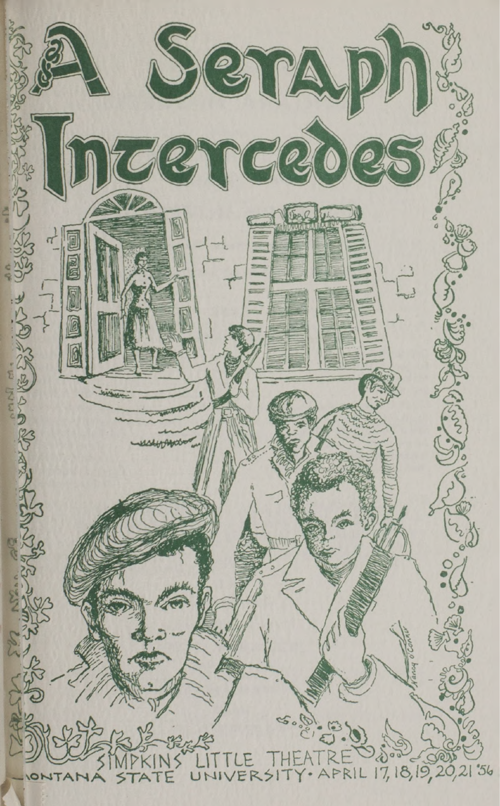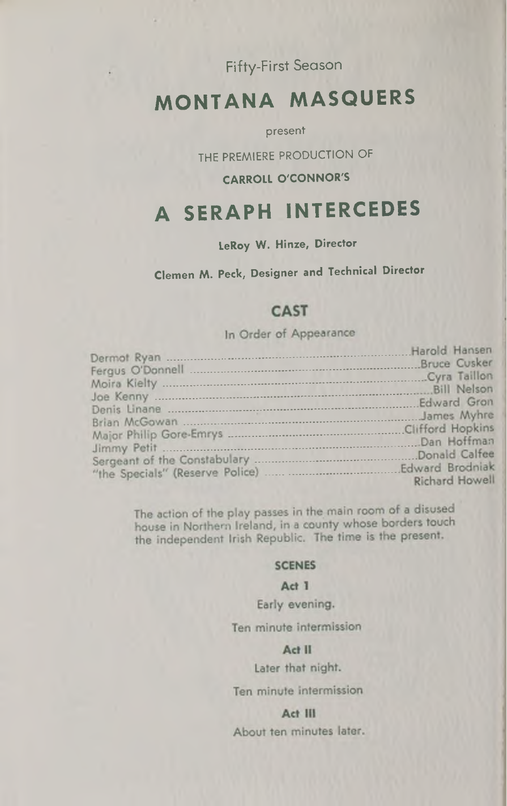Fifty-First Season

# **MONTANA MASQUERS**

present

THE PREMIERE PRODUCTION OF

#### **CARROLL O'CONNOR'S**

# **A SERAPH INTERCEDES**

### **LeRoy W. Hinze, Director**

## **Clemen** *M.* **Peck, Designer and Technical Director**

#### **CAST**

#### In Order of Appearance

|                                 | Harold Hansen       |
|---------------------------------|---------------------|
|                                 | <b>Bruce Cusker</b> |
|                                 | .Cyra Taillon       |
|                                 | Bill Nelson         |
|                                 | Edward Gron         |
|                                 | James Myhre         |
|                                 | Clifford Hopkins    |
|                                 | .Dan Hoffman        |
|                                 | Donald Calfee       |
| "the Specials" (Reserve Police) | Edward Brodniak     |
|                                 | Richard Howell      |

The action of the play passes in the main room of a disused house in Northern Ireland, in a county whose borders touch the independent Irish Republic. The time is the present.

#### **SCENES**

#### Act 1

Early evening.

Ten minute intermission

#### Act II

Later that night.

Ten minute intermission

Act III

About ten minutes later.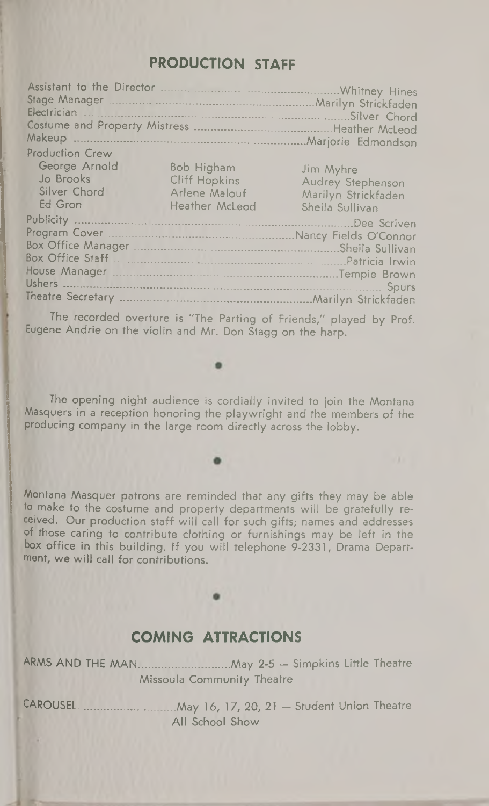## **PRODUCTION STAFF**

| Makeup                                                                                                                                                   | Marilyn Strickfaden<br>Silver Chord<br>Heather McLeod<br>Marjorie Edmondson |
|----------------------------------------------------------------------------------------------------------------------------------------------------------|-----------------------------------------------------------------------------|
| <b>Production Crew</b><br>George Arnold<br>Bob Higham<br>Jo Brooks<br><b>Cliff Hopkins</b><br>Silver Chord<br>Arlene Malouf<br>Ed Gron<br>Heather McLeod | Jim Myhre<br>Audrey Stephenson<br>Marilyn Strickfaden<br>Sheila Sullivan    |
| <b>Publicity</b>                                                                                                                                         | Dee Scriven                                                                 |
|                                                                                                                                                          |                                                                             |
|                                                                                                                                                          | Sheila Sullivan                                                             |
|                                                                                                                                                          |                                                                             |
|                                                                                                                                                          | Spurs                                                                       |
|                                                                                                                                                          | .Marilyn Strickfaden                                                        |

The recorded overture is "The Parting of Friends," played by Prof. Eugene Andrie on the violin and Mr. Don Stagg on the harp.

The opening night audience is cordially invited to join the Montana Masquers in a reception honoring the playwright and the members of the producing company in the large room directly across the lobby.

Montana Masquer patrons are reminded that any gifts they may be able to make to the costume and property departments will be gratefully received. Our production staff will call for such gifts; names and addresses of those caring to contribute clothing or furnishings may be left in the box office in this building. If you will telephone 9-2331, Drama Department, we will call for contributions.

### **COMING ATTRACTIONS**

ARMS AND THE MAN..............................May 2-5 — Simpkins Little Theatre Missoula Community Theatre

CAROUSEL................................May 16, 17, 20, 21 — Student Union Theatre All School Show